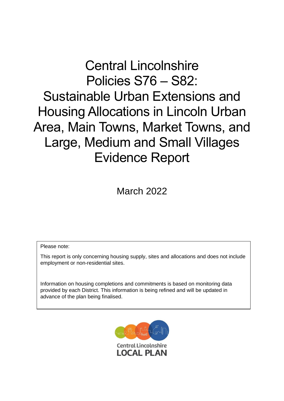# Central Lincolnshire Policies S76 – S82:

Sustainable Urban Extensions and Housing Allocations in Lincoln Urban Area, Main Towns, Market Towns, and Large, Medium and Small Villages Evidence Report

March 2022

Please note:

This report is only concerning housing supply, sites and allocations and does not include employment or non-residential sites.

Information on housing completions and commitments is based on monitoring data provided by each District. This information is being refined and will be updated in advance of the plan being finalised.

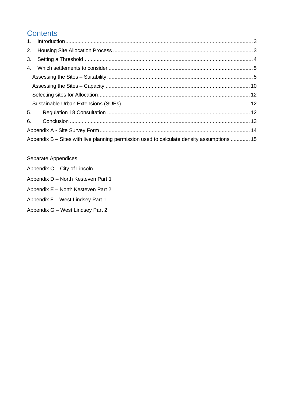# **Contents**

| 4. |                                                                                            |  |
|----|--------------------------------------------------------------------------------------------|--|
|    |                                                                                            |  |
|    |                                                                                            |  |
|    |                                                                                            |  |
|    |                                                                                            |  |
| 5. |                                                                                            |  |
| 6. |                                                                                            |  |
|    |                                                                                            |  |
|    | Appendix B – Sites with live planning permission used to calculate density assumptions  15 |  |

### Separate Appendices

- Appendix C City of Lincoln
- Appendix D North Kesteven Part 1
- Appendix E North Kesteven Part 2
- Appendix F West Lindsey Part 1
- Appendix G West Lindsey Part 2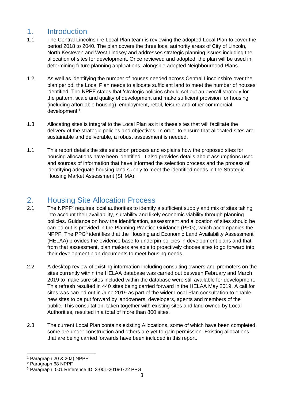### <span id="page-2-0"></span>1. Introduction

- 1.1. The Central Lincolnshire Local Plan team is reviewing the adopted Local Plan to cover the period 2018 to 2040. The plan covers the three local authority areas of City of Lincoln, North Kesteven and West Lindsey and addresses strategic planning issues including the allocation of sites for development. Once reviewed and adopted, the plan will be used in determining future planning applications, alongside adopted Neighbourhood Plans.
- 1.2. As well as identifying the number of houses needed across Central Lincolnshire over the plan period, the Local Plan needs to allocate sufficient land to meet the number of houses identified. The NPPF states that 'strategic policies should set out an overall strategy for the pattern, scale and quality of development and make sufficient provision for housing (including affordable housing), employment, retail, leisure and other commercial development'<sup>1</sup> .
- 1.3. Allocating sites is integral to the Local Plan as it is these sites that will facilitate the delivery of the strategic policies and objectives. In order to ensure that allocated sites are sustainable and deliverable, a robust assessment is needed.
- 1.1 This report details the site selection process and explains how the proposed sites for housing allocations have been identified. It also provides details about assumptions used and sources of information that have informed the selection process and the process of identifying adequate housing land supply to meet the identified needs in the Strategic Housing Market Assessment (SHMA).

### <span id="page-2-1"></span>2. Housing Site Allocation Process

- 2.1. The NPPF<sup>2</sup> requires local authorities to identify a sufficient supply and mix of sites taking into account their availability, suitability and likely economic viability through planning policies. Guidance on how the identification, assessment and allocation of sites should be carried out is provided in the Planning Practice Guidance (PPG), which accompanies the NPPF. The PPG<sup>3</sup> identifies that the Housing and Economic Land Availability Assessment (HELAA) provides the evidence base to underpin policies in development plans and that from that assessment, plan makers are able to proactively choose sites to go forward into their development plan documents to meet housing needs.
- 2.2. A desktop review of existing information including consulting owners and promoters on the sites currently within the HELAA database was carried out between February and March 2019 to make sure sites included within the database were still available for development. This refresh resulted in 440 sites being carried forward in the HELAA May 2019. A call for sites was carried out in June 2019 as part of the wider Local Plan consultation to enable new sites to be put forward by landowners, developers, agents and members of the public. This consultation, taken together with existing sites and land owned by Local Authorities, resulted in a total of more than 800 sites.
- 2.3. The current Local Plan contains existing Allocations, some of which have been completed, some are under construction and others are yet to gain permission. Existing allocations that are being carried forwards have been included in this report.

<sup>1</sup> Paragraph 20 & 20a) NPPF

<sup>2</sup> Paragraph 68 NPPF

<sup>3</sup> Paragraph: 001 Reference ID: 3-001-20190722 PPG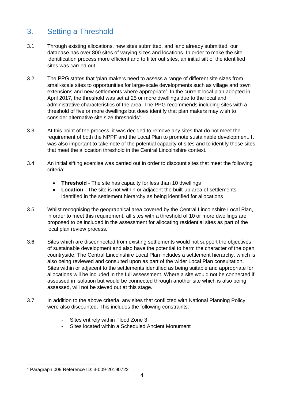# <span id="page-3-0"></span>3. Setting a Threshold

- 3.1. Through existing allocations, new sites submitted, and land already submitted, our database has over 800 sites of varying sizes and locations. In order to make the site identification process more efficient and to filter out sites, an initial sift of the identified sites was carried out.
- 3.2. The PPG states that 'plan makers need to assess a range of different site sizes from small-scale sites to opportunities for large-scale developments such as village and town extensions and new settlements where appropriate'. In the current local plan adopted in April 2017, the threshold was set at 25 or more dwellings due to the local and administrative characteristics of the area. The PPG recommends including sites with a threshold of five or more dwellings but does identify that plan makers may wish to consider alternative site size thresholds<sup>4</sup>.
- 3.3. At this point of the process, it was decided to remove any sites that do not meet the requirement of both the NPPF and the Local Plan to promote sustainable development. It was also important to take note of the potential capacity of sites and to identify those sites that meet the allocation threshold in the Central Lincolnshire context.
- 3.4. An initial sifting exercise was carried out in order to discount sites that meet the following criteria:
	- **Threshold**  The site has capacity for less than 10 dwellings
	- **Location**  The site is not within or adjacent the built-up area of settlements identified in the settlement hierarchy as being identified for allocations
- 3.5. Whilst recognising the geographical area covered by the Central Lincolnshire Local Plan, in order to meet this requirement, all sites with a threshold of 10 or more dwellings are proposed to be included in the assessment for allocating residential sites as part of the local plan review process.
- 3.6. Sites which are disconnected from existing settlements would not support the objectives of sustainable development and also have the potential to harm the character of the open countryside. The Central Lincolnshire Local Plan includes a settlement hierarchy, which is also being reviewed and consulted upon as part of the wider Local Plan consultation. Sites within or adjacent to the settlements identified as being suitable and appropriate for allocations will be included in the full assessment. Where a site would not be connected if assessed in isolation but would be connected through another site which is also being assessed, will not be sieved out at this stage.
- 3.7. In addition to the above criteria, any sites that conflicted with National Planning Policy were also discounted. This includes the following constraints:
	- Sites entirely within Flood Zone 3
	- Sites located within a Scheduled Ancient Monument

<sup>4</sup> Paragraph 009 Reference ID: 3-009-20190722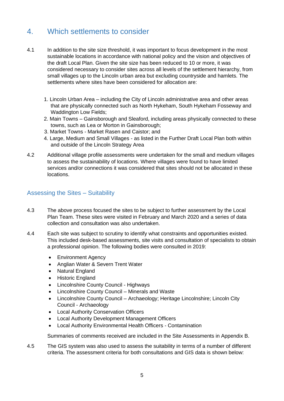### <span id="page-4-0"></span>4. Which settlements to consider

- 4.1 In addition to the site size threshold, it was important to focus development in the most sustainable locations in accordance with national policy and the vision and objectives of the draft Local Plan. Given the site size has been reduced to 10 or more, it was considered necessary to consider sites across all levels of the settlement hierarchy, from small villages up to the Lincoln urban area but excluding countryside and hamlets. The settlements where sites have been considered for allocation are:
	- 1. Lincoln Urban Area including the City of Lincoln administrative area and other areas that are physically connected such as North Hykeham, South Hykeham Fosseway and Waddington Low Fields;
	- 2. Main Towns Gainsborough and Sleaford, including areas physically connected to these towns, such as Lea or Morton in Gainsborough;
	- 3. Market Towns Market Rasen and Caistor; and
	- 4. Large, Medium and Small Villages as listed in the Further Draft Local Plan both within and outside of the Lincoln Strategy Area
- 4.2 Additional village profile assessments were undertaken for the small and medium villages to assess the sustainability of locations. Where villages were found to have limited services and/or connections it was considered that sites should not be allocated in these locations.

#### <span id="page-4-1"></span>Assessing the Sites – Suitability

- 4.3 The above process focused the sites to be subject to further assessment by the Local Plan Team. These sites were visited in February and March 2020 and a series of data collection and consultation was also undertaken.
- 4.4 Each site was subject to scrutiny to identify what constraints and opportunities existed. This included desk-based assessments, site visits and consultation of specialists to obtain a professional opinion. The following bodies were consulted in 2019:
	- Environment Agency
	- Anglian Water & Severn Trent Water
	- Natural England
	- Historic England
	- Lincolnshire County Council Highways
	- Lincolnshire County Council Minerals and Waste
	- Lincolnshire County Council Archaeology; Heritage Lincolnshire; Lincoln City Council - Archaeology
	- Local Authority Conservation Officers
	- Local Authority Development Management Officers
	- Local Authority Environmental Health Officers Contamination

Summaries of comments received are included in the Site Assessments in Appendix B.

4.5 The GIS system was also used to assess the suitability in terms of a number of different criteria. The assessment criteria for both consultations and GIS data is shown below: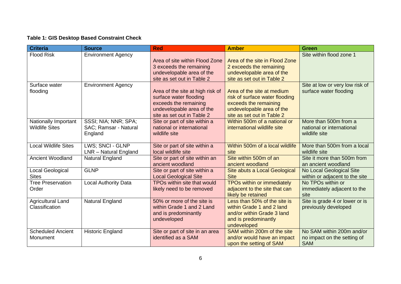### **Table 1: GIS Desktop Based Constraint Check**

| <b>Criteria</b>             | <b>Source</b>               | <b>Red</b>                                             | <b>Amber</b>                               | <b>Green</b>                               |
|-----------------------------|-----------------------------|--------------------------------------------------------|--------------------------------------------|--------------------------------------------|
| <b>Flood Risk</b>           | <b>Environment Agency</b>   |                                                        |                                            | Site within flood zone 1                   |
|                             |                             | Area of site within Flood Zone                         | Area of the site in Flood Zone             |                                            |
|                             |                             | 3 exceeds the remaining                                | 2 exceeds the remaining                    |                                            |
|                             |                             | undevelopable area of the                              | undevelopable area of the                  |                                            |
|                             |                             | site as set out in Table 2                             | site as set out in Table 2                 |                                            |
| Surface water               | <b>Environment Agency</b>   |                                                        |                                            | Site at low or very low risk of            |
| flooding                    |                             | Area of the site at high risk of                       | Area of the site at medium                 | surface water flooding                     |
|                             |                             | surface water flooding                                 | risk of surface water flooding             |                                            |
|                             |                             | exceeds the remaining                                  | exceeds the remaining                      |                                            |
|                             |                             | undevelopable area of the                              | undevelopable area of the                  |                                            |
|                             |                             | site as set out in Table 2                             | site as set out in Table 2                 |                                            |
| <b>Nationally Important</b> | SSSI; NIA; NNR; SPA;        | Site or part of site within a                          | Within 500m of a national or               | More than 500m from a                      |
| <b>Wildlife Sites</b>       | SAC; Ramsar - Natural       | national or international<br>wildlife site             | international wildlife site                | national or international<br>wildlife site |
|                             | England                     |                                                        |                                            |                                            |
| Local Wildlife Sites        | LWS; SNCI - GLNP            | Site or part of site within a                          | Within 500m of a local wildlife            | More than 500m from a local                |
|                             | LNR - Natural England       | local wildlife site                                    | site                                       | wildlife site                              |
| <b>Ancient Woodland</b>     | Natural England             | Site or part of site within an                         | Site within 500m of an                     | Site it more than 500m from                |
|                             |                             | ancient woodland                                       | ancient woodland                           | an ancient woodland                        |
| Local Geological            | <b>GLNP</b>                 | Site or part of site within a                          | Site abuts a Local Geological              | No Local Geological Site                   |
| <b>Sites</b>                |                             | <b>Local Geological Site</b>                           | <b>Site</b>                                | within or adjacent to the site             |
| <b>Tree Preservation</b>    | <b>Local Authority Data</b> | TPOs within site that would                            | TPOs within or immediately                 | No TPOs within or                          |
| Order                       |                             | likely need to be removed                              | adjacent to the site that can              | immediately adjacent to the                |
|                             |                             |                                                        | likely be retained                         | site                                       |
| <b>Agricultural Land</b>    | Natural England             | 50% or more of the site is                             | Less than 50% of the site is               | Site is grade 4 or lower or is             |
| Classification              |                             | within Grade 1 and 2 Land                              | within Grade 1 and 2 land                  | previously developed                       |
|                             |                             | and is predominantly                                   | and/or within Grade 3 land                 |                                            |
|                             |                             | undeveloped                                            | and is predominantly                       |                                            |
|                             |                             |                                                        | undeveloped<br>SAM within 200m of the site | No SAM within 200m and/or                  |
| <b>Scheduled Ancient</b>    | <b>Historic England</b>     | Site or part of site in an area<br>identified as a SAM |                                            |                                            |
| Monument                    |                             |                                                        | and/or would have an impact                | no impact on the setting of                |
|                             |                             |                                                        | upon the setting of SAM                    | <b>SAM</b>                                 |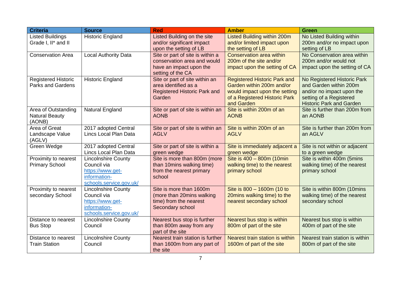| <b>Criteria</b>                                        | <b>Source</b>                                                                                            | <b>Red</b>                                                                                                      | <b>Amber</b>                                                                                                                                     | <b>Green</b>                                                                                                                                     |
|--------------------------------------------------------|----------------------------------------------------------------------------------------------------------|-----------------------------------------------------------------------------------------------------------------|--------------------------------------------------------------------------------------------------------------------------------------------------|--------------------------------------------------------------------------------------------------------------------------------------------------|
| <b>Listed Buildings</b>                                | <b>Historic England</b>                                                                                  | Listed Building on the site                                                                                     | <b>Listed Building within 200m</b>                                                                                                               | No Listed Building within                                                                                                                        |
| Grade I, II* and II                                    |                                                                                                          | and/or significant impact<br>upon the setting of LB                                                             | and/or limited impact upon<br>the setting of LB                                                                                                  | 200m and/or no impact upon<br>setting of LB                                                                                                      |
| <b>Conservation Area</b>                               | <b>Local Authority Data</b>                                                                              | Site or part of site is within a<br>conservation area and would<br>have an impact upon the<br>setting of the CA | Conservation area within<br>200m of the site and/or<br>impact upon the setting of CA                                                             | No Conservation area within<br>200m and/or would not<br>impact upon the setting of CA                                                            |
| <b>Registered Historic</b><br><b>Parks and Gardens</b> | <b>Historic England</b>                                                                                  | Site or part of site within an<br>area identified as a<br><b>Registered Historic Park and</b><br>Garden         | <b>Registered Historic Park and</b><br>Garden within 200m and/or<br>would impact upon the setting<br>of a Registered Historic Park<br>and Garden | No Registered Historic Park<br>and Garden within 200m<br>and/or no impact upon the<br>setting of a Registered<br><b>Historic Park and Garden</b> |
| Area of Outstanding<br><b>Natural Beauty</b><br>(AONB) | <b>Natural England</b>                                                                                   | Site or part of site is within an<br><b>AONB</b>                                                                | Site is within 200m of an<br><b>AONB</b>                                                                                                         | Site is further than 200m from<br>an AONB                                                                                                        |
| Area of Great<br>Landscape Value<br>(AGLV)             | 2017 adopted Central<br>Lincs Local Plan Data                                                            | Site or part of site is within an<br><b>AGLV</b>                                                                | Site is within 200m of an<br><b>AGLV</b>                                                                                                         | Site is further than 200m from<br>an AGLV                                                                                                        |
| Green Wedge                                            | 2017 adopted Central<br>Lincs Local Plan Data                                                            | Site or part of site is within a<br>green wedge                                                                 | Site is immediately adjacent a<br>green wedge                                                                                                    | Site is not within or adjacent<br>to a green wedge                                                                                               |
| Proximity to nearest<br><b>Primary School</b>          | <b>Lincolnshire County</b><br>Council via<br>https://www.get-<br>information-<br>schools.service.gov.uk/ | Site is more than 800m (more<br>than 10mins walking time)<br>from the nearest primary<br>school                 | Site is 400 - 800m (10min<br>walking time) to the nearest<br>primary school                                                                      | Site is within 400m (5mins<br>walking time) of the nearest<br>primary school                                                                     |
| Proximity to nearest<br>secondary School               | <b>Lincolnshire County</b><br>Council via<br>https://www.get-<br>information-<br>schools.service.gov.uk/ | Site is more than 1600m<br>(more than 20mins walking<br>time) from the nearest<br>Secondary school              | Site is 800 - 1600m (10 to<br>20mins walking time) to the<br>nearest secondary school                                                            | Site is within 800m (10mins<br>walking time) of the nearest<br>secondary school                                                                  |
| Distance to nearest<br><b>Bus Stop</b>                 | <b>Lincolnshire County</b><br>Council                                                                    | Nearest bus stop is further<br>than 800m away from any<br>part of the site                                      | Nearest bus stop is within<br>800m of part of the site                                                                                           | Nearest bus stop is within<br>400m of part of the site                                                                                           |
| Distance to nearest<br><b>Train Station</b>            | <b>Lincolnshire County</b><br>Council                                                                    | Nearest train station is further<br>than 1600m from any part of<br>the site                                     | Nearest train station is within<br>1600m of part of the site                                                                                     | Nearest train station is within<br>800m of part of the site                                                                                      |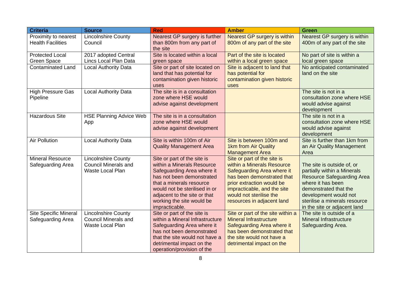| <b>Criteria</b>                                  | <b>Source</b>                                                                        | <b>Red</b>                                                                                                                                                                                                                                                       | <b>Amber</b>                                                                                                                                                                                                                               | <b>Green</b>                                                                                                                                                                                                                           |  |  |
|--------------------------------------------------|--------------------------------------------------------------------------------------|------------------------------------------------------------------------------------------------------------------------------------------------------------------------------------------------------------------------------------------------------------------|--------------------------------------------------------------------------------------------------------------------------------------------------------------------------------------------------------------------------------------------|----------------------------------------------------------------------------------------------------------------------------------------------------------------------------------------------------------------------------------------|--|--|
| Proximity to nearest<br><b>Health Facilities</b> | <b>Lincolnshire County</b><br>Council                                                | Nearest GP surgery is further<br>than 800m from any part of<br>the site                                                                                                                                                                                          | Nearest GP surgery is within<br>800m of any part of the site                                                                                                                                                                               | Nearest GP surgery is within<br>400m of any part of the site                                                                                                                                                                           |  |  |
| <b>Protected Local</b><br><b>Green Space</b>     | 2017 adopted Central<br>Lincs Local Plan Data                                        | Site is located within a local<br>green space                                                                                                                                                                                                                    | Part of the site is located<br>within a local green space                                                                                                                                                                                  | No part of site is within a<br>local green space                                                                                                                                                                                       |  |  |
| <b>Contaminated Land</b>                         | <b>Local Authority Data</b>                                                          | Site or part of site located on<br>land that has potential for<br>contamination given historic<br>uses                                                                                                                                                           | Site is adjacent to land that<br>has potential for<br>contamination given historic<br>uses                                                                                                                                                 | No anticipated contaminated<br>land on the site                                                                                                                                                                                        |  |  |
| <b>High Pressure Gas</b><br>Pipeline             | <b>Local Authority Data</b>                                                          | The site is in a consultation<br>zone where HSE would<br>advise against development                                                                                                                                                                              |                                                                                                                                                                                                                                            | The site is not in a<br>consultation zone where HSE<br>would advise against<br>development                                                                                                                                             |  |  |
| <b>Hazardous Site</b>                            | <b>HSE Planning Advice Web</b><br>App                                                | The site is in a consultation<br>zone where HSE would<br>advise against development                                                                                                                                                                              |                                                                                                                                                                                                                                            | The site is not in a<br>consultation zone where HSE<br>would advise against<br>development                                                                                                                                             |  |  |
| <b>Air Pollution</b>                             | <b>Local Authority Data</b>                                                          | Site is within 100m of Air<br><b>Quality Management Area</b>                                                                                                                                                                                                     | Site is between 100m and<br>1km from Air Quality<br><b>Management Area</b>                                                                                                                                                                 | Site is further than 1km from<br>an Air Quality Management<br>Area                                                                                                                                                                     |  |  |
| <b>Mineral Resource</b><br>Safeguarding Area     | <b>Lincolnshire County</b><br><b>Council Minerals and</b><br><b>Waste Local Plan</b> | Site or part of the site is<br>within a Minerals Resource<br>Safeguarding Area where it<br>has not been demonstrated<br>that a minerals resource<br>would not be sterilised in or<br>adjacent to the site or that<br>working the site would be<br>impracticable. | Site or part of the site is<br>within a Minerals Resource<br>Safeguarding Area where it<br>has been demonstrated that<br>prior extraction would be<br>impracticable, and the site<br>would not sterilise the<br>resources in adjacent land | The site is outside of, or<br>partially within a Minerals<br><b>Resource Safeguarding Area</b><br>where it has been<br>demonstrated that the<br>development would not<br>sterilise a minerals resource<br>in the site or adjacent land |  |  |
| Site Specific Mineral<br>Safeguarding Area       | Lincolnshire County<br><b>Council Minerals and</b><br><b>Waste Local Plan</b>        | Site or part of the site is<br>within a Mineral Infrastructure<br>Safeguarding Area where it<br>has not been demonstrated<br>that the site would not have a<br>detrimental impact on the<br>operation/provision of the                                           | Site or part of the site within a<br><b>Mineral Infrastructure</b><br>Safeguarding Area where it<br>has been demonstrated that<br>the site would not have a<br>detrimental impact on the                                                   | The site is outside of a<br><b>Mineral Infrastructure</b><br>Safeguarding Area.                                                                                                                                                        |  |  |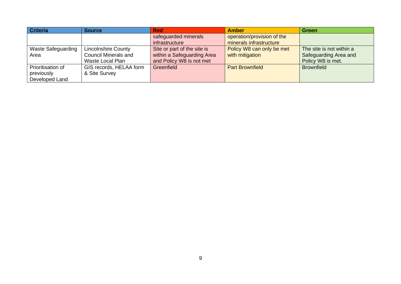| <b>Criteria</b>           | <b>Source</b>               | <b>Red</b>                  | <b>Amber</b>               | <b>Green</b>             |
|---------------------------|-----------------------------|-----------------------------|----------------------------|--------------------------|
|                           |                             | safeguarded minerals        | operation/provision of the |                          |
|                           |                             | infrastructure              | minerals infrastructure    |                          |
| <b>Waste Safeguarding</b> | <b>Lincolnshire County</b>  | Site or part of the site is | Policy W8 can only be met  | The site is not within a |
| Area                      | <b>Council Minerals and</b> | within a Safeguarding Area  | with mitigation            | Safeguarding Area and    |
|                           | Waste Local Plan            | and Policy W8 is not met    |                            | Policy W8 is met.        |
| Prioritisation of         | GIS records, HELAA form     | Greenfield                  | <b>Part Brownfield</b>     | <b>Brownfield</b>        |
| previously                | & Site Survey               |                             |                            |                          |
| Developed Land            |                             |                             |                            |                          |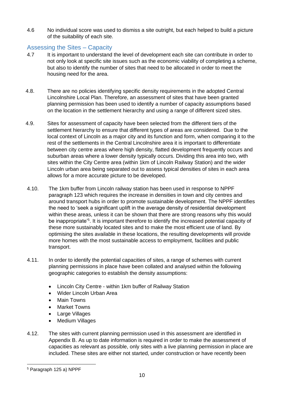4.6 No individual score was used to dismiss a site outright, but each helped to build a picture of the suitability of each site.

#### <span id="page-9-0"></span>Assessing the Sites – Capacity

- 4.7 It is important to understand the level of development each site can contribute in order to not only look at specific site issues such as the economic viability of completing a scheme, but also to identify the number of sites that need to be allocated in order to meet the housing need for the area.
- 4.8. There are no policies identifying specific density requirements in the adopted Central Lincolnshire Local Plan. Therefore, an assessment of sites that have been granted planning permission has been used to identify a number of capacity assumptions based on the location in the settlement hierarchy and using a range of different sized sites.
- 4.9. Sites for assessment of capacity have been selected from the different tiers of the settlement hierarchy to ensure that different types of areas are considered. Due to the local context of Lincoln as a major city and its function and form, when comparing it to the rest of the settlements in the Central Lincolnshire area it is important to differentiate between city centre areas where high density, flatted development frequently occurs and suburban areas where a lower density typically occurs. Dividing this area into two, with sites within the City Centre area (within 1km of Lincoln Railway Station) and the wider Lincoln urban area being separated out to assess typical densities of sites in each area allows for a more accurate picture to be developed.
- 4.10. The 1km buffer from Lincoln railway station has been used in response to NPPF paragraph 123 which requires the increase in densities in town and city centres and around transport hubs in order to promote sustainable development. The NPPF identifies the need to 'seek a significant uplift in the average density of residential development within these areas, unless it can be shown that there are strong reasons why this would be inappropriate<sup>'5</sup>. It is important therefore to identify the increased potential capacity of these more sustainably located sites and to make the most efficient use of land. By optimising the sites available in these locations, the resulting developments will provide more homes with the most sustainable access to employment, facilities and public transport.
- 4.11. In order to identify the potential capacities of sites, a range of schemes with current planning permissions in place have been collated and analysed within the following geographic categories to establish the density assumptions:
	- Lincoln City Centre within 1km buffer of Railway Station
	- Wider Lincoln Urban Area
	- Main Towns
	- **Market Towns**
	- Large Villages
	- **Medium Villages**
- 4.12. The sites with current planning permission used in this assessment are identified in Appendix B. As up to date information is required in order to make the assessment of capacities as relevant as possible, only sites with a live planning permission in place are included. These sites are either not started, under construction or have recently been

<sup>5</sup> Paragraph 125 a) NPPF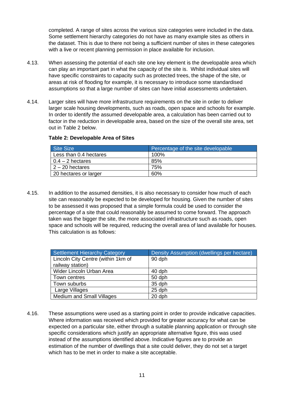completed. A range of sites across the various size categories were included in the data. Some settlement hierarchy categories do not have as many example sites as others in the dataset. This is due to there not being a sufficient number of sites in these categories with a live or recent planning permission in place available for inclusion.

- 4.13. When assessing the potential of each site one key element is the developable area which can play an important part in what the capacity of the site is. Whilst individual sites will have specific constraints to capacity such as protected trees, the shape of the site, or areas at risk of flooding for example, it is necessary to introduce some standardised assumptions so that a large number of sites can have initial assessments undertaken.
- 4.14. Larger sites will have more infrastructure requirements on the site in order to deliver larger scale housing developments, such as roads, open space and schools for example. In order to identify the assumed developable area, a calculation has been carried out to factor in the reduction in developable area, based on the size of the overall site area, set out in Table 2 below.

#### **Table 2: Developable Area of Sites**

| Site Size              | Percentage of the site developable |
|------------------------|------------------------------------|
| Less than 0.4 hectares | 100%                               |
| $0.4 - 2$ hectares     | 85%                                |
| $2 - 20$ hectares      | 75%                                |
| 20 hectares or larger  | 60%                                |

4.15. In addition to the assumed densities, it is also necessary to consider how much of each site can reasonably be expected to be developed for housing. Given the number of sites to be assessed it was proposed that a simple formula could be used to consider the percentage of a site that could reasonably be assumed to come forward. The approach taken was the bigger the site, the more associated infrastructure such as roads, open space and schools will be required, reducing the overall area of land available for houses. This calculation is as follows:

| <b>Settlement Hierarchy Category</b> | Density Assumption (dwellings per hectare) |
|--------------------------------------|--------------------------------------------|
| Lincoln City Centre (within 1km of   | 90 dph                                     |
| railway station)                     |                                            |
| Wider Lincoln Urban Area             | 40 dph                                     |
| Town centres                         | 50 dph                                     |
| Town suburbs                         | 35 dph                                     |
| Large Villages                       | 25 dph                                     |
| <b>Medium and Small Villages</b>     | 20 dph                                     |

4.16. These assumptions were used as a starting point in order to provide indicative capacities. Where information was received which provided for greater accuracy for what can be expected on a particular site, either through a suitable planning application or through site specific considerations which justify an appropriate alternative figure, this was used instead of the assumptions identified above. Indicative figures are to provide an estimation of the number of dwellings that a site could deliver, they do not set a target which has to be met in order to make a site acceptable.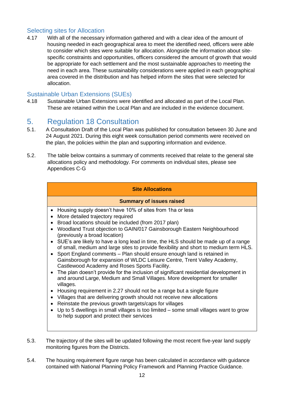### <span id="page-11-0"></span>Selecting sites for Allocation

4.17 With all of the necessary information gathered and with a clear idea of the amount of housing needed in each geographical area to meet the identified need, officers were able to consider which sites were suitable for allocation. Alongside the information about sitespecific constraints and opportunities, officers considered the amount of growth that would be appropriate for each settlement and the most sustainable approaches to meeting the need in each area. These sustainability considerations were applied in each geographical area covered in the distribution and has helped inform the sites that were selected for allocation.

### <span id="page-11-1"></span>Sustainable Urban Extensions (SUEs)

4.18 Sustainable Urban Extensions were identified and allocated as part of the Local Plan. These are retained within the Local Plan and are included in the evidence document.

# <span id="page-11-2"></span>5. Regulation 18 Consultation

- 5.1. A Consultation Draft of the Local Plan was published for consultation between 30 June and 24 August 2021. During this eight week consultation period comments were received on the plan, the policies within the plan and supporting information and evidence.
- 5.2. The table below contains a summary of comments received that relate to the general site allocations policy and methodology. For comments on individual sites, please see Appendices C-G

#### **Site Allocations**

#### **Summary of issues raised**

- Housing supply doesn't have 10% of sites from 1ha or less
- More detailed trajectory required
- Broad locations should be included (from 2017 plan)
- Woodland Trust objection to GAIN/017 Gainsborough Eastern Neighbourhood (previously a broad location)
- SUE's are likely to have a long lead in time, the HLS should be made up of a range of small, medium and large sites to provide flexibility and short to medium term HLS.
- Sport England comments Plan should ensure enough land is retained in Gainsborough for expansion of WLDC Leisure Centre, Trent Valley Academy, Castlewood Academy and Roses Sports Facility.
- The plan doesn't provide for the inclusion of significant residential development in and around Large, Medium and Small Villages. More development for smaller villages.
- Housing requirement in 2.27 should not be a range but a single figure
- Villages that are delivering growth should not receive new allocations
- Reinstate the previous growth targets/caps for villages
- Up to 5 dwellings in small villages is too limited some small villages want to grow to help support and protect their services
- 5.3. The trajectory of the sites will be updated following the most recent five-year land supply monitoring figures from the Districts.
- 5.4. The housing requirement figure range has been calculated in accordance with guidance contained with National Planning Policy Framework and Planning Practice Guidance.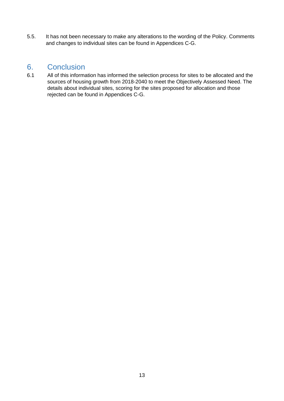5.5. It has not been necessary to make any alterations to the wording of the Policy. Comments and changes to individual sites can be found in Appendices C-G.

### <span id="page-12-0"></span>6. Conclusion

6.1 All of this information has informed the selection process for sites to be allocated and the sources of housing growth from 2018-2040 to meet the Objectively Assessed Need. The details about individual sites, scoring for the sites proposed for allocation and those rejected can be found in Appendices C-G.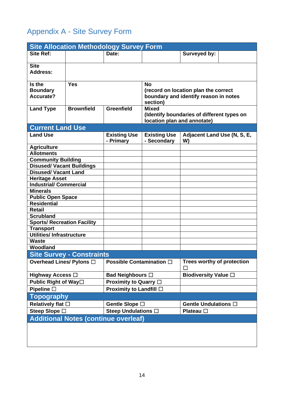# <span id="page-13-0"></span>Appendix A - Site Survey Form

| <b>Site Allocation Methodology Survey Form</b> |                                             |                             |                                                                               |                                        |  |  |  |  |  |
|------------------------------------------------|---------------------------------------------|-----------------------------|-------------------------------------------------------------------------------|----------------------------------------|--|--|--|--|--|
| <b>Site Ref:</b>                               |                                             | Date:                       |                                                                               | Surveyed by:                           |  |  |  |  |  |
|                                                |                                             |                             |                                                                               |                                        |  |  |  |  |  |
| <b>Site</b>                                    |                                             |                             |                                                                               |                                        |  |  |  |  |  |
| <b>Address:</b>                                |                                             |                             |                                                                               |                                        |  |  |  |  |  |
| Is the                                         | <b>Yes</b>                                  |                             | <b>No</b>                                                                     |                                        |  |  |  |  |  |
| <b>Boundary</b>                                |                                             |                             |                                                                               |                                        |  |  |  |  |  |
| <b>Accurate?</b>                               |                                             |                             | (record on location plan the correct<br>boundary and identify reason in notes |                                        |  |  |  |  |  |
|                                                |                                             |                             | section)                                                                      |                                        |  |  |  |  |  |
| <b>Land Type</b>                               | <b>Brownfield</b>                           | <b>Greenfield</b>           | <b>Mixed</b>                                                                  |                                        |  |  |  |  |  |
|                                                |                                             |                             | (Identify boundaries of different types on                                    |                                        |  |  |  |  |  |
|                                                |                                             |                             | location plan and annotate)                                                   |                                        |  |  |  |  |  |
| <b>Current Land Use</b>                        |                                             |                             |                                                                               |                                        |  |  |  |  |  |
| <b>Land Use</b>                                |                                             | <b>Existing Use</b>         | <b>Existing Use</b>                                                           | Adjacent Land Use (N, S, E,            |  |  |  |  |  |
|                                                |                                             | - Primary                   | - Secondary                                                                   | W)                                     |  |  |  |  |  |
| <b>Agriculture</b>                             |                                             |                             |                                                                               |                                        |  |  |  |  |  |
| <b>Allotments</b>                              |                                             |                             |                                                                               |                                        |  |  |  |  |  |
| <b>Community Building</b>                      |                                             |                             |                                                                               |                                        |  |  |  |  |  |
| <b>Disused/ Vacant Buildings</b>               |                                             |                             |                                                                               |                                        |  |  |  |  |  |
| <b>Disused/ Vacant Land</b>                    |                                             |                             |                                                                               |                                        |  |  |  |  |  |
| <b>Heritage Asset</b>                          |                                             |                             |                                                                               |                                        |  |  |  |  |  |
| <b>Industrial/Commercial</b>                   |                                             |                             |                                                                               |                                        |  |  |  |  |  |
| <b>Minerals</b>                                |                                             |                             |                                                                               |                                        |  |  |  |  |  |
| <b>Public Open Space</b>                       |                                             |                             |                                                                               |                                        |  |  |  |  |  |
| <b>Residential</b>                             |                                             |                             |                                                                               |                                        |  |  |  |  |  |
| <b>Retail</b>                                  |                                             |                             |                                                                               |                                        |  |  |  |  |  |
| <b>Scrubland</b>                               |                                             |                             |                                                                               |                                        |  |  |  |  |  |
| <b>Sports/ Recreation Facility</b>             |                                             |                             |                                                                               |                                        |  |  |  |  |  |
| <b>Transport</b>                               |                                             |                             |                                                                               |                                        |  |  |  |  |  |
| <b>Utilities/Infrastructure</b>                |                                             |                             |                                                                               |                                        |  |  |  |  |  |
| <b>Waste</b>                                   |                                             |                             |                                                                               |                                        |  |  |  |  |  |
| Woodland                                       |                                             |                             |                                                                               |                                        |  |  |  |  |  |
|                                                | <b>Site Survey - Constraints</b>            |                             |                                                                               |                                        |  |  |  |  |  |
| Overhead Lines/ Pylons □                       |                                             | Possible Contamination □    |                                                                               | <b>Trees worthy of protection</b><br>П |  |  |  |  |  |
| Highway Access $\Box$                          |                                             | Bad Neighbours $\square$    |                                                                               | <b>Biodiversity Value</b> □            |  |  |  |  |  |
| Public Right of Way□                           |                                             | Proximity to Quarry $\Box$  |                                                                               |                                        |  |  |  |  |  |
| Pipeline $\square$                             |                                             | Proximity to Landfill □     |                                                                               |                                        |  |  |  |  |  |
| <b>Topography</b>                              |                                             |                             |                                                                               |                                        |  |  |  |  |  |
| Relatively flat $\square$                      |                                             | Gentle Slope □              |                                                                               | Gentle Undulations $\square$           |  |  |  |  |  |
| Steep Slope □                                  |                                             | Steep Undulations $\square$ |                                                                               | Plateau $\square$                      |  |  |  |  |  |
|                                                | <b>Additional Notes (continue overleaf)</b> |                             |                                                                               |                                        |  |  |  |  |  |
|                                                |                                             |                             |                                                                               |                                        |  |  |  |  |  |
|                                                |                                             |                             |                                                                               |                                        |  |  |  |  |  |
|                                                |                                             |                             |                                                                               |                                        |  |  |  |  |  |
|                                                |                                             |                             |                                                                               |                                        |  |  |  |  |  |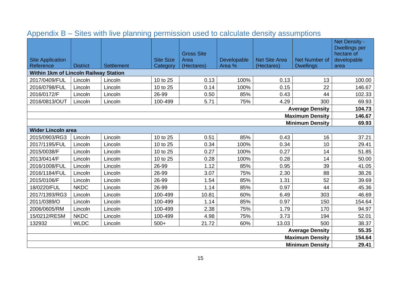<span id="page-14-0"></span>

| <b>Site Application</b>                      |                 |                   | <b>Site Size</b> | <b>Gross Site</b><br>Area | Developable | <b>Net Site Area</b> | <b>Net Number of</b>   | Net Density -<br><b>Dwellings per</b><br>hectare of<br>developable |  |
|----------------------------------------------|-----------------|-------------------|------------------|---------------------------|-------------|----------------------|------------------------|--------------------------------------------------------------------|--|
| Reference                                    | <b>District</b> | <b>Settlement</b> | Category         | (Hectares)                | Area %      | (Hectares)           | <b>Dwellings</b>       | area                                                               |  |
| <b>Within 1km of Lincoln Railway Station</b> |                 |                   |                  |                           |             |                      |                        |                                                                    |  |
| 2017/0409/FUL                                | Lincoln         | Lincoln           | 10 to 25         | 0.13                      | 100%        | 0.13                 | 13                     | 100.00                                                             |  |
| 2016/0798/FUL                                | Lincoln         | Lincoln           | 10 to 25         | 0.14                      | 100%        | 0.15                 | 22                     | 146.67                                                             |  |
| 2016/0172/F                                  | Lincoln         | Lincoln           | 26-99            | 0.50                      | 85%         | 0.43                 | 44                     | 102.33                                                             |  |
| 2016/0813/OUT                                | Lincoln         | Lincoln           | 100-499          | 5.71                      | 75%         | 4.29                 | 300                    | 69.93                                                              |  |
|                                              |                 |                   |                  |                           |             |                      | <b>Average Density</b> | 104.73                                                             |  |
| <b>Maximum Density</b>                       |                 |                   |                  |                           |             |                      |                        | 146.67                                                             |  |
|                                              |                 |                   |                  |                           |             |                      | <b>Minimum Density</b> | 69.93                                                              |  |
| <b>Wider Lincoln area</b>                    |                 |                   |                  |                           |             |                      |                        |                                                                    |  |
| 2015/0903/RG3                                | Lincoln         | Lincoln           | 10 to 25         | 0.51                      | 85%         | 0.43                 | 16                     | 37.21                                                              |  |
| 2017/1195/FUL                                | Lincoln         | Lincoln           | 10 to 25         | 0.34                      | 100%        | 0.34                 | 10                     | 29.41                                                              |  |
| 2015/0038/F                                  | Lincoln         | Lincoln           | 10 to 25         | 0.27                      | 100%        | 0.27                 | 14                     | 51.85                                                              |  |
| 2013/0414/F                                  | Lincoln         | Lincoln           | 10 to 25         | 0.28                      | 100%        | 0.28                 | 14                     | 50.00                                                              |  |
| 2016/1008/FUL                                | Lincoln         | Lincoln           | 26-99            | 1.12                      | 85%         | 0.95                 | 39                     | 41.05                                                              |  |
| 2016/1184/FUL                                | Lincoln         | Lincoln           | 26-99            | 3.07                      | 75%         | 2.30                 | 88                     | 38.26                                                              |  |
| 2015/0106/F                                  | Lincoln         | Lincoln           | 26-99            | 1.54                      | 85%         | 1.31                 | 52                     | 39.69                                                              |  |
| 18/0220/FUL                                  | <b>NKDC</b>     | Lincoln           | 26-99            | 1.14                      | 85%         | 0.97                 | 44                     | 45.36                                                              |  |
| 2017/1393/RG3                                | Lincoln         | Lincoln           | 100-499          | 10.81                     | 60%         | 6.49                 | 303                    | 46.69                                                              |  |
| 2011/0389/O                                  | Lincoln         | Lincoln           | 100-499          | 1.14                      | 85%         | 0.97                 | 150                    | 154.64                                                             |  |
| 2006/0605/RM                                 | Lincoln         | Lincoln           | 100-499          | 2.38                      | 75%         | 1.79                 | 170                    | 94.97                                                              |  |
| 15/0212/RESM                                 | <b>NKDC</b>     | Lincoln           | 100-499          | 4.98                      | 75%         | 3.73                 | 194                    | 52.01                                                              |  |
| 132932                                       | <b>WLDC</b>     | Lincoln           | $500+$           | 21.72                     | 60%         | 13.03                | 500                    | 38.37                                                              |  |
| <b>Average Density</b>                       |                 |                   |                  |                           |             |                      |                        | 55.35                                                              |  |
| <b>Maximum Density</b>                       |                 |                   |                  |                           |             |                      |                        | 154.64                                                             |  |
| <b>Minimum Density</b>                       |                 |                   |                  |                           |             |                      |                        |                                                                    |  |

# Appendix B – Sites with live planning permission used to calculate density assumptions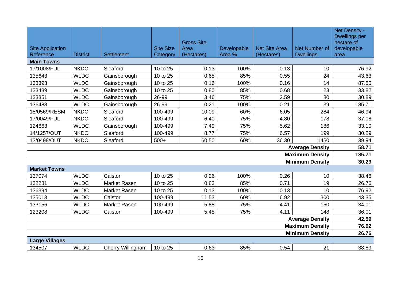| <b>Site Application</b><br>Reference | <b>District</b> | <b>Settlement</b>   | <b>Site Size</b><br>Category | <b>Gross Site</b><br>Area<br>(Hectares) | Developable<br>Area % | <b>Net Site Area</b><br>(Hectares) | Net Number of<br><b>Dwellings</b> | Net Density -<br><b>Dwellings per</b><br>hectare of<br>developable<br>area |
|--------------------------------------|-----------------|---------------------|------------------------------|-----------------------------------------|-----------------------|------------------------------------|-----------------------------------|----------------------------------------------------------------------------|
| <b>Main Towns</b>                    |                 |                     |                              |                                         |                       |                                    |                                   |                                                                            |
| 17/1008/FUL                          | <b>NKDC</b>     | Sleaford            | 10 to 25                     | 0.13                                    | 100%                  | 0.13                               | 10                                | 76.92                                                                      |
| 135643                               | <b>WLDC</b>     | Gainsborough        | 10 to 25                     | 0.65                                    | 85%                   | 0.55                               | 24                                | 43.63                                                                      |
| 133393                               | <b>WLDC</b>     | Gainsborough        | 10 to 25                     | 0.16                                    | 100%                  | 0.16                               | 14                                | 87.50                                                                      |
| 133439                               | <b>WLDC</b>     | Gainsborough        | 10 to 25                     | 0.80                                    | 85%                   | 0.68                               | 23                                | 33.82                                                                      |
| 133351                               | <b>WLDC</b>     | Gainsborough        | 26-99                        | 3.46                                    | 75%                   | 2.59                               | 80                                | 30.89                                                                      |
| 136488                               | <b>WLDC</b>     | Gainsborough        | 26-99                        | 0.21                                    | 100%                  | 0.21                               | 39                                | 185.71                                                                     |
| 15/0569/RESM                         | <b>NKDC</b>     | Sleaford            | 100-499                      | 10.09                                   | 60%                   | 6.05                               | 284                               | 46.94                                                                      |
| 17/0049/FUL                          | <b>NKDC</b>     | Sleaford            | 100-499                      | 6.40                                    | 75%                   | 4.80                               | 178                               | 37.08                                                                      |
| 124663                               | <b>WLDC</b>     | Gainsborough        | 100-499                      | 7.49                                    | 75%                   | 5.62                               | 186                               | 33.10                                                                      |
| 14/1257/OUT                          | <b>NKDC</b>     | Sleaford            | 100-499                      | 8.77                                    | 75%                   | 6.57                               | 199                               | 30.29                                                                      |
| 13/0498/OUT                          | <b>NKDC</b>     | Sleaford            | $500+$                       | 60.50                                   | 60%                   | 36.30                              | 1450                              | 39.94                                                                      |
|                                      |                 |                     |                              |                                         |                       |                                    | <b>Average Density</b>            | 58.71                                                                      |
|                                      |                 |                     |                              |                                         |                       |                                    | <b>Maximum Density</b>            | 185.71                                                                     |
|                                      |                 |                     |                              |                                         |                       |                                    | <b>Minimum Density</b>            | 30.29                                                                      |
| <b>Market Towns</b>                  |                 |                     |                              |                                         |                       |                                    |                                   |                                                                            |
| 137074                               | <b>WLDC</b>     | Caistor             | 10 to 25                     | 0.26                                    | 100%                  | 0.26                               | 10                                | 38.46                                                                      |
| 132281                               | <b>WLDC</b>     | Market Rasen        | 10 to 25                     | 0.83                                    | 85%                   | 0.71                               | 19                                | 26.76                                                                      |
| 136394                               | <b>WLDC</b>     | <b>Market Rasen</b> | 10 to 25                     | 0.13                                    | 100%                  | 0.13                               | 10                                | 76.92                                                                      |
| 135013                               | <b>WLDC</b>     | Caistor             | 100-499                      | 11.53                                   | 60%                   | 6.92                               | 300                               | 43.35                                                                      |
| 133156                               | <b>WLDC</b>     | <b>Market Rasen</b> | 100-499                      | 5.88                                    | 75%                   | 4.41                               | 150                               | 34.01                                                                      |
| 123208                               | <b>WLDC</b>     | Caistor             | 100-499                      | 5.48                                    | 75%                   | 4.11                               | 148                               | 36.01                                                                      |
| <b>Average Density</b>               |                 |                     |                              |                                         |                       |                                    |                                   |                                                                            |
| <b>Maximum Density</b>               |                 |                     |                              |                                         |                       |                                    |                                   | 76.92                                                                      |
| <b>Minimum Density</b>               |                 |                     |                              |                                         |                       |                                    |                                   | 26.76                                                                      |
| <b>Large Villages</b>                |                 |                     |                              |                                         |                       |                                    |                                   |                                                                            |
| 134507                               | <b>WLDC</b>     | Cherry Willingham   | 10 to 25                     | 0.63                                    | 85%                   | 0.54                               | 21                                | 38.89                                                                      |